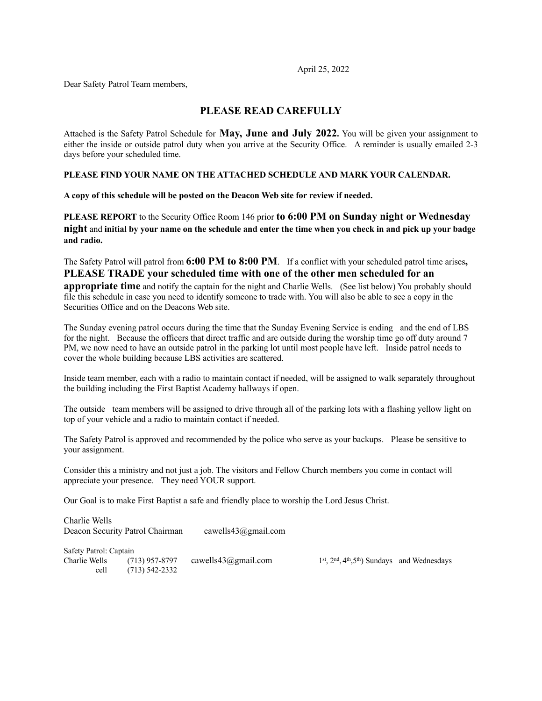April 25, 2022

Dear Safety Patrol Team members,

### **PLEASE READ CAREFULLY**

Attached is the Safety Patrol Schedule for **May, June and July 2022.** You will be given your assignment to either the inside or outside patrol duty when you arrive at the Security Office. A reminder is usually emailed 2-3 days before your scheduled time.

### **PLEASE FIND YOUR NAME ON THE ATTACHED SCHEDULE AND MARK YOUR CALENDAR.**

**A copy of this schedule will be posted on the Deacon Web site for review if needed.** 

**PLEASE REPORT** to the Security Office Room 146 prior **to 6:00 PM on Sunday night or Wednesday night** and **initial by your name on the schedule and enter the time when you check in and pick up your badge and radio.**

The Safety Patrol will patrol from **6:00 PM to 8:00 PM**. If a conflict with your scheduled patrol time arises**, PLEASE TRADE your scheduled time with one of the other men scheduled for an** 

**appropriate time** and notify the captain for the night and Charlie Wells. (See list below) You probably should file this schedule in case you need to identify someone to trade with. You will also be able to see a copy in the Securities Office and on the Deacons Web site.

The Sunday evening patrol occurs during the time that the Sunday Evening Service is ending and the end of LBS for the night. Because the officers that direct traffic and are outside during the worship time go off duty around 7 PM, we now need to have an outside patrol in the parking lot until most people have left. Inside patrol needs to cover the whole building because LBS activities are scattered.

Inside team member, each with a radio to maintain contact if needed, will be assigned to walk separately throughout the building including the First Baptist Academy hallways if open.

The outside team members will be assigned to drive through all of the parking lots with a flashing yellow light on top of your vehicle and a radio to maintain contact if needed.

The Safety Patrol is approved and recommended by the police who serve as your backups. Please be sensitive to your assignment.

Consider this a ministry and not just a job. The visitors and Fellow Church members you come in contact will appreciate your presence. They need YOUR support.

Our Goal is to make First Baptist a safe and friendly place to worship the Lord Jesus Christ.

Charlie Wells Deacon Security Patrol Chairman cawells43@gmail.com

Safety Patrol: Captain Charlie Wells (713) 957-8797 cawells43@gmail.com  $1<sup>st</sup>$ ,  $2<sup>nd</sup>$ ,  $4<sup>th</sup>$ ,  $5<sup>th</sup>$ ) Sundays and Wednesdays cell (713) 542-2332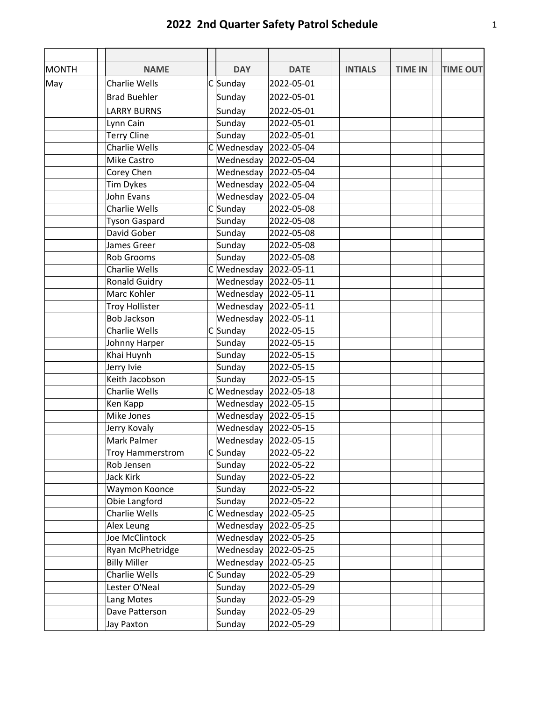# **2022 2nd Quarter Safety Patrol Schedule** 1

| <b>MONTH</b> | <b>NAME</b>             |   | <b>DAY</b>               | <b>DATE</b> | <b>INTIALS</b> | <b>TIME IN</b> | <b>TIME OUT</b> |
|--------------|-------------------------|---|--------------------------|-------------|----------------|----------------|-----------------|
| May          | Charlie Wells           |   | $C$ Sunday               | 2022-05-01  |                |                |                 |
|              | <b>Brad Buehler</b>     |   | Sunday                   | 2022-05-01  |                |                |                 |
|              | <b>LARRY BURNS</b>      |   | Sunday                   | 2022-05-01  |                |                |                 |
|              | Lynn Cain               |   | Sunday                   | 2022-05-01  |                |                |                 |
|              | <b>Terry Cline</b>      |   | Sunday                   | 2022-05-01  |                |                |                 |
|              | Charlie Wells           |   | $C$ Wednesday 2022-05-04 |             |                |                |                 |
|              | Mike Castro             |   | Wednesday 2022-05-04     |             |                |                |                 |
|              | Corey Chen              |   | Wednesday 2022-05-04     |             |                |                |                 |
|              | <b>Tim Dykes</b>        |   | Wednesday 2022-05-04     |             |                |                |                 |
|              | John Evans              |   | Wednesday 2022-05-04     |             |                |                |                 |
|              | <b>Charlie Wells</b>    |   | $C$ Sunday               | 2022-05-08  |                |                |                 |
|              | <b>Tyson Gaspard</b>    |   | Sunday                   | 2022-05-08  |                |                |                 |
|              | David Gober             |   | Sunday                   | 2022-05-08  |                |                |                 |
|              | James Greer             |   | Sunday                   | 2022-05-08  |                |                |                 |
|              | Rob Grooms              |   | Sunday                   | 2022-05-08  |                |                |                 |
|              | <b>Charlie Wells</b>    |   | C Wednesday              | 2022-05-11  |                |                |                 |
|              | <b>Ronald Guidry</b>    |   | Wednesday 2022-05-11     |             |                |                |                 |
|              | Marc Kohler             |   | Wednesday 2022-05-11     |             |                |                |                 |
|              | <b>Troy Hollister</b>   |   | Wednesday 2022-05-11     |             |                |                |                 |
|              | <b>Bob Jackson</b>      |   | Wednesday 2022-05-11     |             |                |                |                 |
|              | <b>Charlie Wells</b>    |   | $C$ Sunday               | 2022-05-15  |                |                |                 |
|              | Johnny Harper           |   | Sunday                   | 2022-05-15  |                |                |                 |
|              | Khai Huynh              |   | Sunday                   | 2022-05-15  |                |                |                 |
|              | Jerry Ivie              |   | Sunday                   | 2022-05-15  |                |                |                 |
|              | Keith Jacobson          |   | Sunday                   | 2022-05-15  |                |                |                 |
|              | <b>Charlie Wells</b>    |   | $C$ Wednesday 2022-05-18 |             |                |                |                 |
|              | Ken Kapp                |   | Wednesday 2022-05-15     |             |                |                |                 |
|              | Mike Jones              |   | Wednesday 2022-05-15     |             |                |                |                 |
|              | Jerry Kovaly            |   | Wednesday 2022-05-15     |             |                |                |                 |
|              | Mark Palmer             |   | Wednesday 2022-05-15     |             |                |                |                 |
|              | <b>Troy Hammerstrom</b> |   | $C$ Sunday               | 2022-05-22  |                |                |                 |
|              | Rob Jensen              |   | Sunday                   | 2022-05-22  |                |                |                 |
|              | Jack Kirk               |   | Sunday                   | 2022-05-22  |                |                |                 |
|              | Waymon Koonce           |   | Sunday                   | 2022-05-22  |                |                |                 |
|              | Obie Langford           |   | Sunday                   | 2022-05-22  |                |                |                 |
|              | Charlie Wells           | C | Wednesday 2022-05-25     |             |                |                |                 |
|              | Alex Leung              |   | Wednesday 2022-05-25     |             |                |                |                 |
|              | Joe McClintock          |   | Wednesday 2022-05-25     |             |                |                |                 |
|              | Ryan McPhetridge        |   | Wednesday 2022-05-25     |             |                |                |                 |
|              | <b>Billy Miller</b>     |   | Wednesday                | 2022-05-25  |                |                |                 |
|              | Charlie Wells           |   | $C$ Sunday               | 2022-05-29  |                |                |                 |
|              | Lester O'Neal           |   | Sunday                   | 2022-05-29  |                |                |                 |
|              | Lang Motes              |   | Sunday                   | 2022-05-29  |                |                |                 |
|              | Dave Patterson          |   | Sunday                   | 2022-05-29  |                |                |                 |
|              | Jay Paxton              |   | Sunday                   | 2022-05-29  |                |                |                 |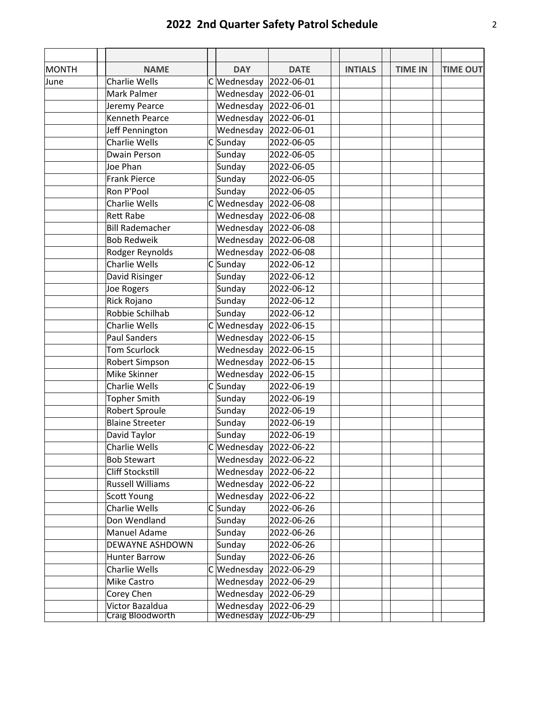# **2022 2nd Quarter Safety Patrol Schedule** 2

| <b>MONTH</b> | <b>NAME</b>             | <b>DAY</b>               | <b>DATE</b> | <b>INTIALS</b> | <b>TIME IN</b> | <b>TIME OUT</b> |
|--------------|-------------------------|--------------------------|-------------|----------------|----------------|-----------------|
| June         | <b>Charlie Wells</b>    | C Wednesday              | 2022-06-01  |                |                |                 |
|              | Mark Palmer             | Wednesday                | 2022-06-01  |                |                |                 |
|              | Jeremy Pearce           | Wednesday                | 2022-06-01  |                |                |                 |
|              | <b>Kenneth Pearce</b>   | Wednesday 2022-06-01     |             |                |                |                 |
|              | Jeff Pennington         | Wednesday 2022-06-01     |             |                |                |                 |
|              | <b>Charlie Wells</b>    | $C$ Sunday               | 2022-06-05  |                |                |                 |
|              | Dwain Person            | Sunday                   | 2022-06-05  |                |                |                 |
|              | Joe Phan                | Sunday                   | 2022-06-05  |                |                |                 |
|              | <b>Frank Pierce</b>     | Sunday                   | 2022-06-05  |                |                |                 |
|              | Ron P'Pool              | Sunday                   | 2022-06-05  |                |                |                 |
|              | Charlie Wells           | $C$ Wednesday            | 2022-06-08  |                |                |                 |
|              | <b>Rett Rabe</b>        | Wednesday 2022-06-08     |             |                |                |                 |
|              | <b>Bill Rademacher</b>  | Wednesday                | 2022-06-08  |                |                |                 |
|              | <b>Bob Redweik</b>      | Wednesday 2022-06-08     |             |                |                |                 |
|              | Rodger Reynolds         | Wednesday 2022-06-08     |             |                |                |                 |
|              | <b>Charlie Wells</b>    | $C$ Sunday               | 2022-06-12  |                |                |                 |
|              | David Risinger          | Sunday                   | 2022-06-12  |                |                |                 |
|              | Joe Rogers              | Sunday                   | 2022-06-12  |                |                |                 |
|              | Rick Rojano             | Sunday                   | 2022-06-12  |                |                |                 |
|              | Robbie Schilhab         | Sunday                   | 2022-06-12  |                |                |                 |
|              | <b>Charlie Wells</b>    | C Wednesday              | 2022-06-15  |                |                |                 |
|              | <b>Paul Sanders</b>     | Wednesday 2022-06-15     |             |                |                |                 |
|              | <b>Tom Scurlock</b>     | Wednesday                | 2022-06-15  |                |                |                 |
|              | Robert Simpson          | Wednesday 2022-06-15     |             |                |                |                 |
|              | Mike Skinner            | Wednesday                | 2022-06-15  |                |                |                 |
|              | <b>Charlie Wells</b>    | $C$ Sunday               | 2022-06-19  |                |                |                 |
|              | <b>Topher Smith</b>     | Sunday                   | 2022-06-19  |                |                |                 |
|              | Robert Sproule          | Sunday                   | 2022-06-19  |                |                |                 |
|              | <b>Blaine Streeter</b>  | Sunday                   | 2022-06-19  |                |                |                 |
|              | David Taylor            | Sunday                   | 2022-06-19  |                |                |                 |
|              | Charlie Wells           | $C$ Wednesday 2022-06-22 |             |                |                |                 |
|              | <b>Bob Stewart</b>      | Wednesday 2022-06-22     |             |                |                |                 |
|              | Cliff Stockstill        | Wednesday 2022-06-22     |             |                |                |                 |
|              | <b>Russell Williams</b> | Wednesday 2022-06-22     |             |                |                |                 |
|              | Scott Young             | Wednesday 2022-06-22     |             |                |                |                 |
|              | Charlie Wells           | $C$ Sunday               | 2022-06-26  |                |                |                 |
|              | Don Wendland            | Sunday                   | 2022-06-26  |                |                |                 |
|              | Manuel Adame            | Sunday                   | 2022-06-26  |                |                |                 |
|              | DEWAYNE ASHDOWN         | Sunday                   | 2022-06-26  |                |                |                 |
|              | <b>Hunter Barrow</b>    | Sunday                   | 2022-06-26  |                |                |                 |
|              | Charlie Wells           | C Wednesday              | 2022-06-29  |                |                |                 |
|              | Mike Castro             | Wednesday 2022-06-29     |             |                |                |                 |
|              | Corey Chen              | Wednesday                | 2022-06-29  |                |                |                 |
|              | Victor Bazaldua         | Wednesday 2022-06-29     |             |                |                |                 |
|              | Craig Bloodworth        | Wednesday                | 2022-06-29  |                |                |                 |